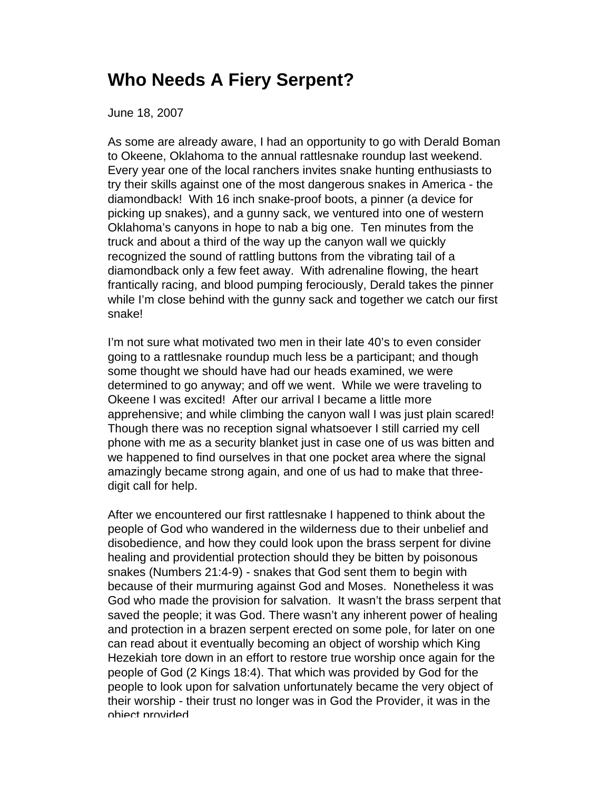## **Who Needs A Fiery Serpent?**

June 18, 2007

As some are already aware, I had an opportunity to go with Derald Boman to Okeene, Oklahoma to the annual rattlesnake roundup last weekend. Every year one of the local ranchers invites snake hunting enthusiasts to try their skills against one of the most dangerous snakes in America - the diamondback! With 16 inch snake-proof boots, a pinner (a device for picking up snakes), and a gunny sack, we ventured into one of western Oklahoma's canyons in hope to nab a big one. Ten minutes from the truck and about a third of the way up the canyon wall we quickly recognized the sound of rattling buttons from the vibrating tail of a diamondback only a few feet away. With adrenaline flowing, the heart frantically racing, and blood pumping ferociously, Derald takes the pinner while I'm close behind with the gunny sack and together we catch our first snake!

I'm not sure what motivated two men in their late 40's to even consider going to a rattlesnake roundup much less be a participant; and though some thought we should have had our heads examined, we were determined to go anyway; and off we went. While we were traveling to Okeene I was excited! After our arrival I became a little more apprehensive; and while climbing the canyon wall I was just plain scared! Though there was no reception signal whatsoever I still carried my cell phone with me as a security blanket just in case one of us was bitten and we happened to find ourselves in that one pocket area where the signal amazingly became strong again, and one of us had to make that threedigit call for help.

After we encountered our first rattlesnake I happened to think about the people of God who wandered in the wilderness due to their unbelief and disobedience, and how they could look upon the brass serpent for divine healing and providential protection should they be bitten by poisonous snakes (Numbers 21:4-9) - snakes that God sent them to begin with because of their murmuring against God and Moses. Nonetheless it was God who made the provision for salvation. It wasn't the brass serpent that saved the people; it was God. There wasn't any inherent power of healing and protection in a brazen serpent erected on some pole, for later on one can read about it eventually becoming an object of worship which King Hezekiah tore down in an effort to restore true worship once again for the people of God (2 Kings 18:4). That which was provided by God for the people to look upon for salvation unfortunately became the very object of their worship - their trust no longer was in God the Provider, it was in the object provided.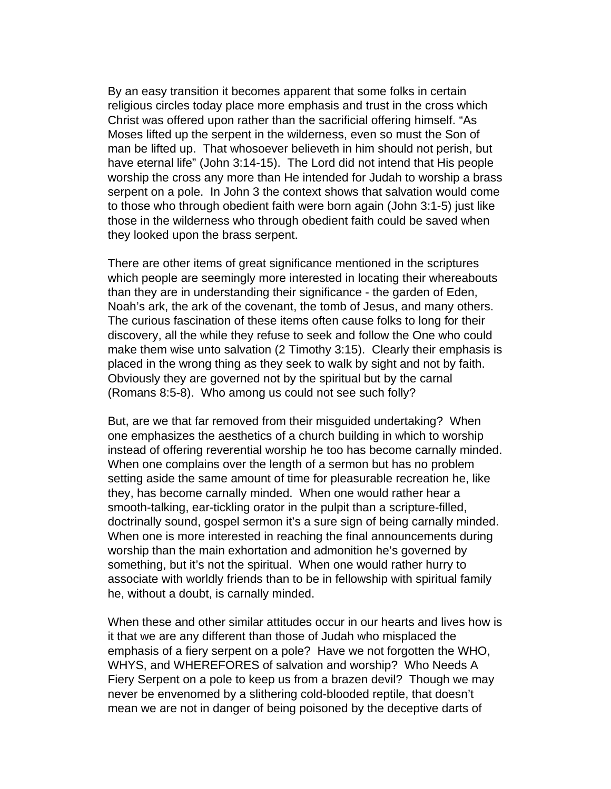By an easy transition it becomes apparent that some folks in certain religious circles today place more emphasis and trust in the cross which Christ was offered upon rather than the sacrificial offering himself. "As Moses lifted up the serpent in the wilderness, even so must the Son of man be lifted up. That whosoever believeth in him should not perish, but have eternal life" (John 3:14-15). The Lord did not intend that His people worship the cross any more than He intended for Judah to worship a brass serpent on a pole. In John 3 the context shows that salvation would come to those who through obedient faith were born again (John 3:1-5) just like those in the wilderness who through obedient faith could be saved when they looked upon the brass serpent.

There are other items of great significance mentioned in the scriptures which people are seemingly more interested in locating their whereabouts than they are in understanding their significance - the garden of Eden, Noah's ark, the ark of the covenant, the tomb of Jesus, and many others. The curious fascination of these items often cause folks to long for their discovery, all the while they refuse to seek and follow the One who could make them wise unto salvation (2 Timothy 3:15). Clearly their emphasis is placed in the wrong thing as they seek to walk by sight and not by faith. Obviously they are governed not by the spiritual but by the carnal (Romans 8:5-8). Who among us could not see such folly?

But, are we that far removed from their misguided undertaking? When one emphasizes the aesthetics of a church building in which to worship instead of offering reverential worship he too has become carnally minded. When one complains over the length of a sermon but has no problem setting aside the same amount of time for pleasurable recreation he, like they, has become carnally minded. When one would rather hear a smooth-talking, ear-tickling orator in the pulpit than a scripture-filled, doctrinally sound, gospel sermon it's a sure sign of being carnally minded. When one is more interested in reaching the final announcements during worship than the main exhortation and admonition he's governed by something, but it's not the spiritual. When one would rather hurry to associate with worldly friends than to be in fellowship with spiritual family he, without a doubt, is carnally minded.

When these and other similar attitudes occur in our hearts and lives how is it that we are any different than those of Judah who misplaced the emphasis of a fiery serpent on a pole? Have we not forgotten the WHO, WHYS, and WHEREFORES of salvation and worship? Who Needs A Fiery Serpent on a pole to keep us from a brazen devil? Though we may never be envenomed by a slithering cold-blooded reptile, that doesn't mean we are not in danger of being poisoned by the deceptive darts of